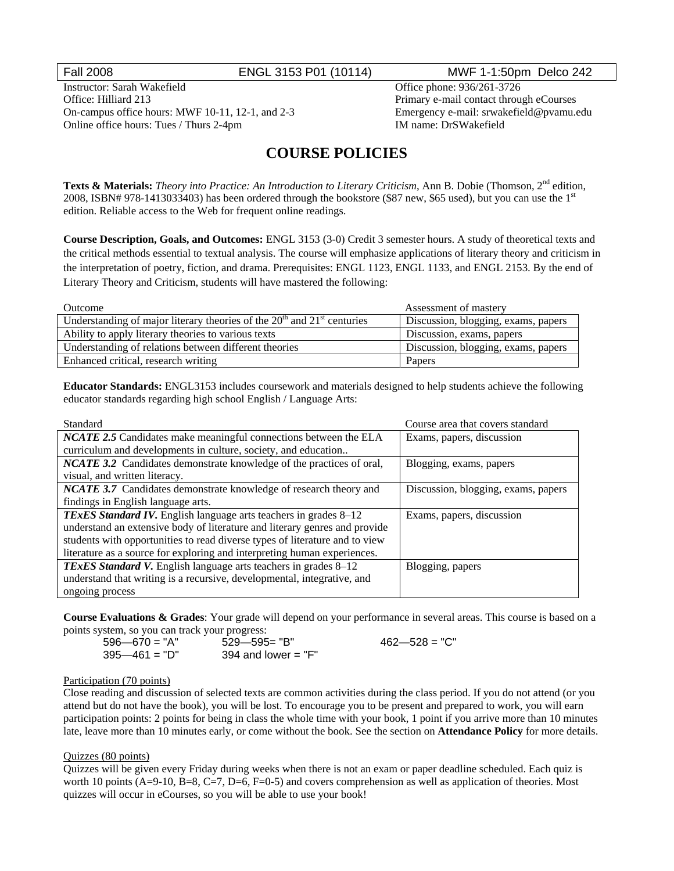## Fall 2008 ENGL 3153 P01 (10114) MWF 1-1:50pm Delco 242

Instructor: Sarah Wakefield Office phone: 936/261-3726 Office: Hilliard 213 Primary e-mail contact through eCourses On-campus office hours: MWF 10-11, 12-1, and 2-3 Emergency e-mail: srwakefield@pvamu.edu Online office hours: Tues / Thurs 2-4pm IM name: DrSWakefield

# **COURSE POLICIES**

**Texts & Materials:** *Theory into Practice: An Introduction to Literary Criticism*, Ann B. Dobie (Thomson, 2<sup>nd</sup> edition, 2008, ISBN# 978-1413033403) has been ordered through the bookstore (\$87 new, \$65 used), but you can use the 1st edition. Reliable access to the Web for frequent online readings.

**Course Description, Goals, and Outcomes:** ENGL 3153 (3-0) Credit 3 semester hours. A study of theoretical texts and the critical methods essential to textual analysis. The course will emphasize applications of literary theory and criticism in the interpretation of poetry, fiction, and drama. Prerequisites: ENGL 1123, ENGL 1133, and ENGL 2153. By the end of Literary Theory and Criticism, students will have mastered the following:

| Outcome                                                                     | Assessment of mastery               |
|-----------------------------------------------------------------------------|-------------------------------------|
| Understanding of major literary theories of the $20th$ and $21st$ centuries | Discussion, blogging, exams, papers |
| Ability to apply literary theories to various texts                         | Discussion, exams, papers           |
| Understanding of relations between different theories                       | Discussion, blogging, exams, papers |
| Enhanced critical, research writing                                         | Papers                              |

**Educator Standards:** ENGL3153 includes coursework and materials designed to help students achieve the following educator standards regarding high school English / Language Arts:

| Standard                                                                    | Course area that covers standard    |
|-----------------------------------------------------------------------------|-------------------------------------|
| <b>NCATE 2.5</b> Candidates make meaningful connections between the ELA     | Exams, papers, discussion           |
| curriculum and developments in culture, society, and education              |                                     |
| NCATE 3.2 Candidates demonstrate knowledge of the practices of oral,        | Blogging, exams, papers             |
| visual, and written literacy.                                               |                                     |
| <b>NCATE 3.7</b> Candidates demonstrate knowledge of research theory and    | Discussion, blogging, exams, papers |
| findings in English language arts.                                          |                                     |
| <b>TExES Standard IV.</b> English language arts teachers in grades 8-12     | Exams, papers, discussion           |
| understand an extensive body of literature and literary genres and provide  |                                     |
| students with opportunities to read diverse types of literature and to view |                                     |
| literature as a source for exploring and interpreting human experiences.    |                                     |
| <b>TExES Standard V.</b> English language arts teachers in grades 8–12      | Blogging, papers                    |
| understand that writing is a recursive, developmental, integrative, and     |                                     |
| ongoing process                                                             |                                     |

**Course Evaluations & Grades**: Your grade will depend on your performance in several areas. This course is based on a points system, so you can track your progress:

| $596 - 670 = "A"$ | $529 - 595 = "B"$     |
|-------------------|-----------------------|
| $395 - 461 = "D"$ | 394 and lower $=$ "F" |

 $462 - 528 = "C"$ 

#### Participation (70 points)

Close reading and discussion of selected texts are common activities during the class period. If you do not attend (or you attend but do not have the book), you will be lost. To encourage you to be present and prepared to work, you will earn participation points: 2 points for being in class the whole time with your book, 1 point if you arrive more than 10 minutes late, leave more than 10 minutes early, or come without the book. See the section on **Attendance Policy** for more details.

#### Quizzes (80 points)

Quizzes will be given every Friday during weeks when there is not an exam or paper deadline scheduled. Each quiz is worth 10 points  $(A=9-10, B=8, C=7, D=6, F=0-5)$  and covers comprehension as well as application of theories. Most quizzes will occur in eCourses, so you will be able to use your book!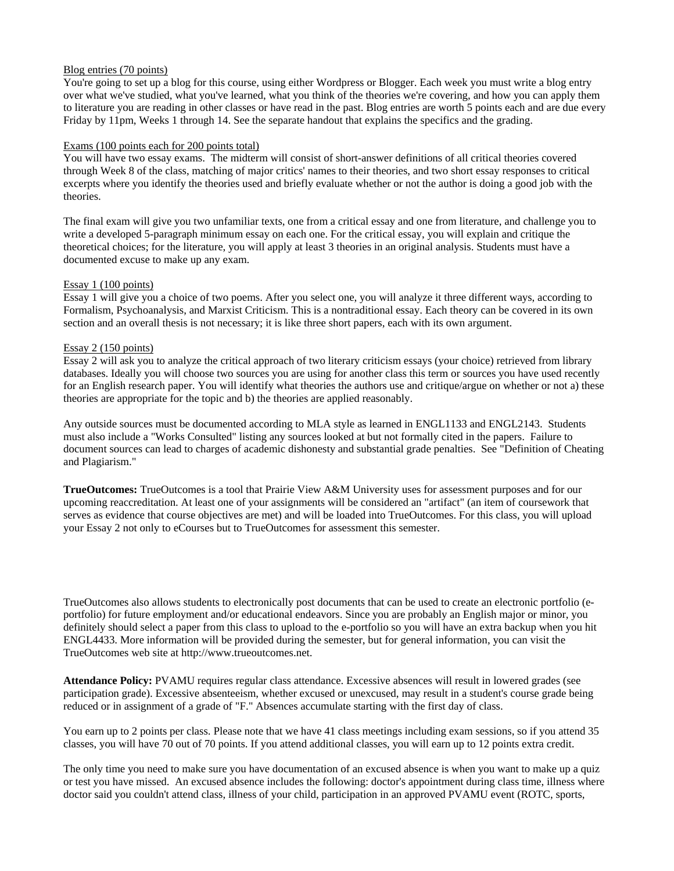### Blog entries (70 points)

You're going to set up a blog for this course, using either Wordpress or Blogger. Each week you must write a blog entry over what we've studied, what you've learned, what you think of the theories we're covering, and how you can apply them to literature you are reading in other classes or have read in the past. Blog entries are worth 5 points each and are due every Friday by 11pm, Weeks 1 through 14. See the separate handout that explains the specifics and the grading.

#### Exams (100 points each for 200 points total)

You will have two essay exams. The midterm will consist of short-answer definitions of all critical theories covered through Week 8 of the class, matching of major critics' names to their theories, and two short essay responses to critical excerpts where you identify the theories used and briefly evaluate whether or not the author is doing a good job with the theories.

The final exam will give you two unfamiliar texts, one from a critical essay and one from literature, and challenge you to write a developed 5-paragraph minimum essay on each one. For the critical essay, you will explain and critique the theoretical choices; for the literature, you will apply at least 3 theories in an original analysis. Students must have a documented excuse to make up any exam.

### Essay 1 (100 points)

Essay 1 will give you a choice of two poems. After you select one, you will analyze it three different ways, according to Formalism, Psychoanalysis, and Marxist Criticism. This is a nontraditional essay. Each theory can be covered in its own section and an overall thesis is not necessary; it is like three short papers, each with its own argument.

### Essay 2 (150 points)

Essay 2 will ask you to analyze the critical approach of two literary criticism essays (your choice) retrieved from library databases. Ideally you will choose two sources you are using for another class this term or sources you have used recently for an English research paper. You will identify what theories the authors use and critique/argue on whether or not a) these theories are appropriate for the topic and b) the theories are applied reasonably.

Any outside sources must be documented according to MLA style as learned in ENGL1133 and ENGL2143. Students must also include a "Works Consulted" listing any sources looked at but not formally cited in the papers. Failure to document sources can lead to charges of academic dishonesty and substantial grade penalties. See "Definition of Cheating and Plagiarism."

**TrueOutcomes:** TrueOutcomes is a tool that Prairie View A&M University uses for assessment purposes and for our upcoming reaccreditation. At least one of your assignments will be considered an "artifact" (an item of coursework that serves as evidence that course objectives are met) and will be loaded into TrueOutcomes. For this class, you will upload your Essay 2 not only to eCourses but to TrueOutcomes for assessment this semester.

TrueOutcomes also allows students to electronically post documents that can be used to create an electronic portfolio (eportfolio) for future employment and/or educational endeavors. Since you are probably an English major or minor, you definitely should select a paper from this class to upload to the e-portfolio so you will have an extra backup when you hit ENGL4433. More information will be provided during the semester, but for general information, you can visit the TrueOutcomes web site at http://www.trueoutcomes.net.

**Attendance Policy:** PVAMU requires regular class attendance. Excessive absences will result in lowered grades (see participation grade). Excessive absenteeism, whether excused or unexcused, may result in a student's course grade being reduced or in assignment of a grade of "F." Absences accumulate starting with the first day of class.

You earn up to 2 points per class. Please note that we have 41 class meetings including exam sessions, so if you attend 35 classes, you will have 70 out of 70 points. If you attend additional classes, you will earn up to 12 points extra credit.

The only time you need to make sure you have documentation of an excused absence is when you want to make up a quiz or test you have missed. An excused absence includes the following: doctor's appointment during class time, illness where doctor said you couldn't attend class, illness of your child, participation in an approved PVAMU event (ROTC, sports,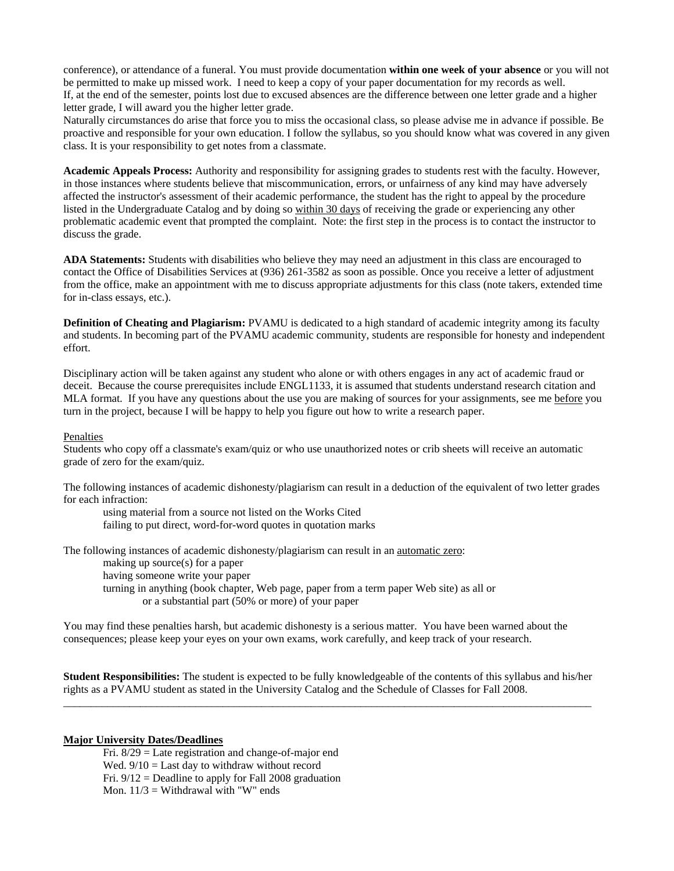conference), or attendance of a funeral. You must provide documentation **within one week of your absence** or you will not be permitted to make up missed work. I need to keep a copy of your paper documentation for my records as well. If, at the end of the semester, points lost due to excused absences are the difference between one letter grade and a higher letter grade, I will award you the higher letter grade.

Naturally circumstances do arise that force you to miss the occasional class, so please advise me in advance if possible. Be proactive and responsible for your own education. I follow the syllabus, so you should know what was covered in any given class. It is your responsibility to get notes from a classmate.

**Academic Appeals Process:** Authority and responsibility for assigning grades to students rest with the faculty. However, in those instances where students believe that miscommunication, errors, or unfairness of any kind may have adversely affected the instructor's assessment of their academic performance, the student has the right to appeal by the procedure listed in the Undergraduate Catalog and by doing so within 30 days of receiving the grade or experiencing any other problematic academic event that prompted the complaint. Note: the first step in the process is to contact the instructor to discuss the grade.

**ADA Statements:** Students with disabilities who believe they may need an adjustment in this class are encouraged to contact the Office of Disabilities Services at (936) 261-3582 as soon as possible. Once you receive a letter of adjustment from the office, make an appointment with me to discuss appropriate adjustments for this class (note takers, extended time for in-class essays, etc.).

**Definition of Cheating and Plagiarism:** PVAMU is dedicated to a high standard of academic integrity among its faculty and students. In becoming part of the PVAMU academic community, students are responsible for honesty and independent effort.

Disciplinary action will be taken against any student who alone or with others engages in any act of academic fraud or deceit. Because the course prerequisites include ENGL1133, it is assumed that students understand research citation and MLA format. If you have any questions about the use you are making of sources for your assignments, see me before you turn in the project, because I will be happy to help you figure out how to write a research paper.

#### Penalties

Students who copy off a classmate's exam/quiz or who use unauthorized notes or crib sheets will receive an automatic grade of zero for the exam/quiz.

The following instances of academic dishonesty/plagiarism can result in a deduction of the equivalent of two letter grades for each infraction:

 using material from a source not listed on the Works Cited failing to put direct, word-for-word quotes in quotation marks

The following instances of academic dishonesty/plagiarism can result in an automatic zero:

making up source(s) for a paper

having someone write your paper

turning in anything (book chapter, Web page, paper from a term paper Web site) as all or or a substantial part (50% or more) of your paper

You may find these penalties harsh, but academic dishonesty is a serious matter. You have been warned about the consequences; please keep your eyes on your own exams, work carefully, and keep track of your research.

**Student Responsibilities:** The student is expected to be fully knowledgeable of the contents of this syllabus and his/her rights as a PVAMU student as stated in the University Catalog and the Schedule of Classes for Fall 2008. \_\_\_\_\_\_\_\_\_\_\_\_\_\_\_\_\_\_\_\_\_\_\_\_\_\_\_\_\_\_\_\_\_\_\_\_\_\_\_\_\_\_\_\_\_\_\_\_\_\_\_\_\_\_\_\_\_\_\_\_\_\_\_\_\_\_\_\_\_\_\_\_\_\_\_\_\_\_\_\_\_\_\_\_\_\_\_\_\_\_\_\_\_\_\_\_

### **Major University Dates/Deadlines**

Fri. 8/29 = Late registration and change-of-major end Wed.  $9/10 =$  Last day to withdraw without record Fri.  $9/12$  = Deadline to apply for Fall 2008 graduation Mon.  $11/3$  = Withdrawal with "W" ends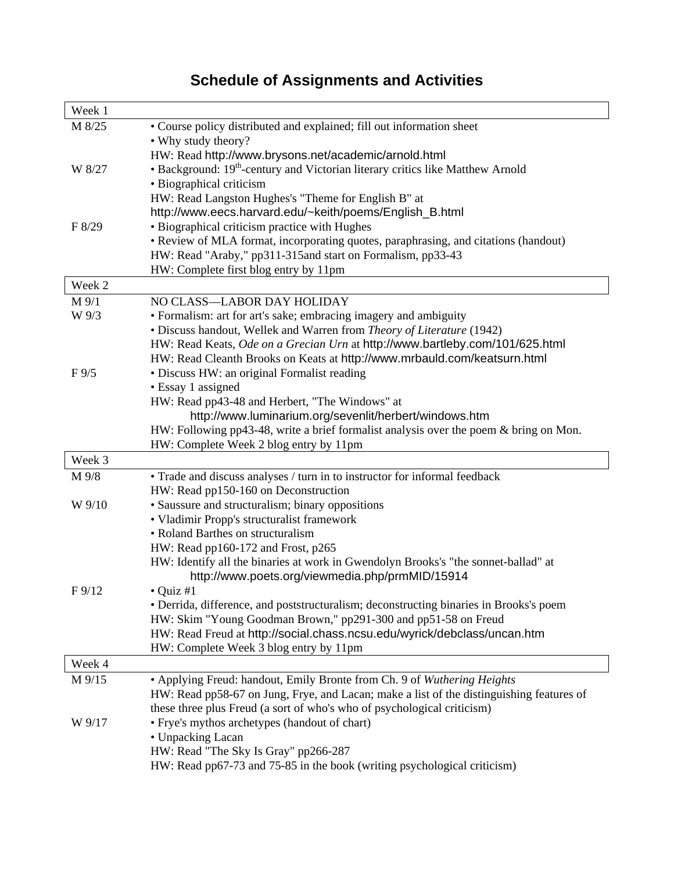# **Schedule of Assignments and Activities**

| Week 1          |                                                                                                                                                          |
|-----------------|----------------------------------------------------------------------------------------------------------------------------------------------------------|
| M 8/25          | • Course policy distributed and explained; fill out information sheet                                                                                    |
|                 | • Why study theory?                                                                                                                                      |
|                 | HW: Read http://www.brysons.net/academic/arnold.html                                                                                                     |
| W 8/27          | • Background: 19 <sup>th</sup> -century and Victorian literary critics like Matthew Arnold                                                               |
|                 | · Biographical criticism                                                                                                                                 |
|                 | HW: Read Langston Hughes's "Theme for English B" at                                                                                                      |
|                 | http://www.eecs.harvard.edu/~keith/poems/English_B.html                                                                                                  |
| F 8/29          | • Biographical criticism practice with Hughes                                                                                                            |
|                 | • Review of MLA format, incorporating quotes, paraphrasing, and citations (handout)                                                                      |
|                 | HW: Read "Araby," pp311-315and start on Formalism, pp33-43                                                                                               |
|                 | HW: Complete first blog entry by 11pm                                                                                                                    |
| Week 2          |                                                                                                                                                          |
| M 9/1           | NO CLASS-LABOR DAY HOLIDAY                                                                                                                               |
| W 9/3           | • Formalism: art for art's sake; embracing imagery and ambiguity                                                                                         |
|                 | · Discuss handout, Wellek and Warren from Theory of Literature (1942)                                                                                    |
|                 | HW: Read Keats, Ode on a Grecian Urn at http://www.bartleby.com/101/625.html                                                                             |
|                 | HW: Read Cleanth Brooks on Keats at http://www.mrbauld.com/keatsurn.html                                                                                 |
| $F\,9/5$        | · Discuss HW: an original Formalist reading                                                                                                              |
|                 | • Essay 1 assigned                                                                                                                                       |
|                 | HW: Read pp43-48 and Herbert, "The Windows" at                                                                                                           |
|                 | http://www.luminarium.org/sevenlit/herbert/windows.htm                                                                                                   |
|                 | HW: Following pp43-48, write a brief formalist analysis over the poem & bring on Mon.                                                                    |
|                 | HW: Complete Week 2 blog entry by 11pm                                                                                                                   |
| Week 3          |                                                                                                                                                          |
| M 9/8           | • Trade and discuss analyses / turn in to instructor for informal feedback                                                                               |
|                 | HW: Read pp150-160 on Deconstruction                                                                                                                     |
| W 9/10          | • Saussure and structuralism; binary oppositions                                                                                                         |
|                 | • Vladimir Propp's structuralist framework                                                                                                               |
|                 | • Roland Barthes on structuralism                                                                                                                        |
|                 | HW: Read pp160-172 and Frost, p265                                                                                                                       |
|                 | HW: Identify all the binaries at work in Gwendolyn Brooks's "the sonnet-ballad" at                                                                       |
|                 | http://www.poets.org/viewmedia.php/prmMID/15914                                                                                                          |
| $F\frac{9}{12}$ | $\bullet$ Quiz #1                                                                                                                                        |
|                 | • Derrida, difference, and poststructuralism; deconstructing binaries in Brooks's poem<br>HW: Skim "Young Goodman Brown," pp291-300 and pp51-58 on Freud |
|                 | HW: Read Freud at http://social.chass.ncsu.edu/wyrick/debclass/uncan.htm                                                                                 |
|                 | HW: Complete Week 3 blog entry by 11pm                                                                                                                   |
|                 |                                                                                                                                                          |
| Week 4          |                                                                                                                                                          |
| M 9/15          | • Applying Freud: handout, Emily Bronte from Ch. 9 of Wuthering Heights                                                                                  |
|                 | HW: Read pp58-67 on Jung, Frye, and Lacan; make a list of the distinguishing features of                                                                 |
|                 | these three plus Freud (a sort of who's who of psychological criticism)                                                                                  |
| W 9/17          | • Frye's mythos archetypes (handout of chart)                                                                                                            |
|                 | • Unpacking Lacan                                                                                                                                        |
|                 | HW: Read "The Sky Is Gray" pp266-287                                                                                                                     |
|                 | HW: Read pp67-73 and 75-85 in the book (writing psychological criticism)                                                                                 |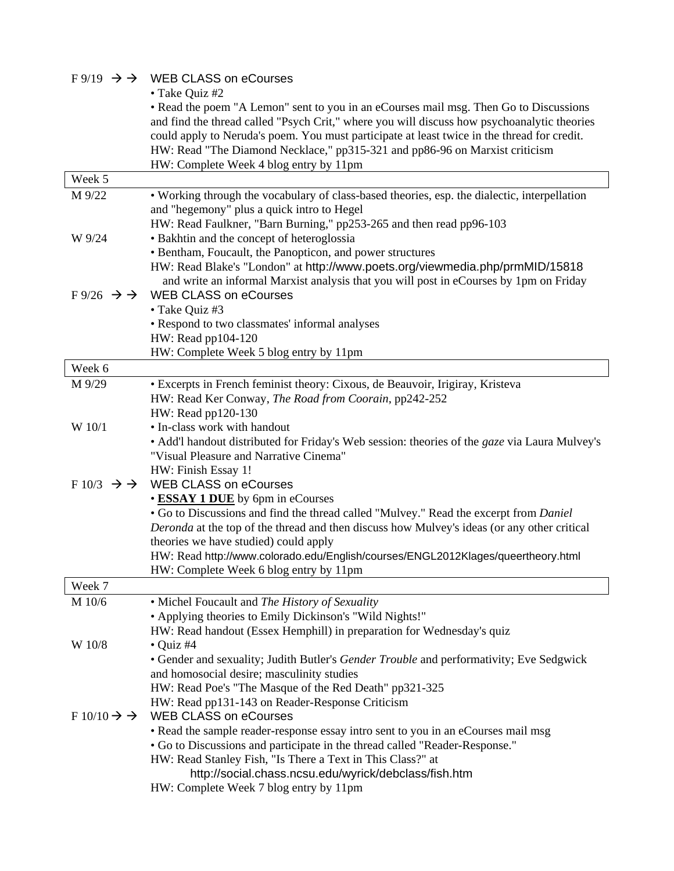|                                         | $F9/19 \rightarrow$ WEB CLASS on eCourses                                                                                                 |
|-----------------------------------------|-------------------------------------------------------------------------------------------------------------------------------------------|
|                                         | • Take Quiz #2                                                                                                                            |
|                                         | • Read the poem "A Lemon" sent to you in an eCourses mail msg. Then Go to Discussions                                                     |
|                                         | and find the thread called "Psych Crit," where you will discuss how psychoanalytic theories                                               |
|                                         | could apply to Neruda's poem. You must participate at least twice in the thread for credit.                                               |
|                                         | HW: Read "The Diamond Necklace," pp315-321 and pp86-96 on Marxist criticism                                                               |
|                                         | HW: Complete Week 4 blog entry by 11pm                                                                                                    |
| Week 5                                  |                                                                                                                                           |
| M 9/22                                  | • Working through the vocabulary of class-based theories, esp. the dialectic, interpellation                                              |
|                                         | and "hegemony" plus a quick intro to Hegel                                                                                                |
|                                         | HW: Read Faulkner, "Barn Burning," pp253-265 and then read pp96-103                                                                       |
| W 9/24                                  | • Bakhtin and the concept of heteroglossia                                                                                                |
|                                         | • Bentham, Foucault, the Panopticon, and power structures                                                                                 |
|                                         | HW: Read Blake's "London" at http://www.poets.org/viewmedia.php/prmMID/15818                                                              |
| $F\frac{9}{26} \rightarrow \rightarrow$ | and write an informal Marxist analysis that you will post in eCourses by 1pm on Friday<br><b>WEB CLASS on eCourses</b>                    |
|                                         | • Take Quiz #3                                                                                                                            |
|                                         | • Respond to two classmates' informal analyses                                                                                            |
|                                         | HW: Read pp104-120                                                                                                                        |
|                                         | HW: Complete Week 5 blog entry by 11pm                                                                                                    |
| Week 6                                  |                                                                                                                                           |
| M 9/29                                  | • Excerpts in French feminist theory: Cixous, de Beauvoir, Irigiray, Kristeva                                                             |
|                                         | HW: Read Ker Conway, The Road from Coorain, pp242-252                                                                                     |
|                                         | HW: Read pp120-130                                                                                                                        |
| W 10/1                                  | • In-class work with handout                                                                                                              |
|                                         | • Add'l handout distributed for Friday's Web session: theories of the gaze via Laura Mulvey's                                             |
|                                         | "Visual Pleasure and Narrative Cinema"                                                                                                    |
|                                         | HW: Finish Essay 1!                                                                                                                       |
| $F10/3 \rightarrow \rightarrow$         | <b>WEB CLASS on eCourses</b>                                                                                                              |
|                                         | • ESSAY 1 DUE by 6pm in eCourses                                                                                                          |
|                                         | • Go to Discussions and find the thread called "Mulvey." Read the excerpt from Daniel                                                     |
|                                         | Deronda at the top of the thread and then discuss how Mulvey's ideas (or any other critical                                               |
|                                         | theories we have studied) could apply                                                                                                     |
|                                         | HW: Read http://www.colorado.edu/English/courses/ENGL2012Klages/queertheory.html                                                          |
|                                         | HW: Complete Week 6 blog entry by 11pm                                                                                                    |
| Week 7                                  |                                                                                                                                           |
| M 10/6                                  | • Michel Foucault and The History of Sexuality                                                                                            |
|                                         | • Applying theories to Emily Dickinson's "Wild Nights!"                                                                                   |
|                                         | HW: Read handout (Essex Hemphill) in preparation for Wednesday's quiz                                                                     |
| W 10/8                                  | $\bullet$ Quiz #4                                                                                                                         |
|                                         | • Gender and sexuality; Judith Butler's Gender Trouble and performativity; Eve Sedgwick                                                   |
|                                         | and homosocial desire; masculinity studies                                                                                                |
|                                         | HW: Read Poe's "The Masque of the Red Death" pp321-325                                                                                    |
| $F10/10 \rightarrow \rightarrow$        | HW: Read pp131-143 on Reader-Response Criticism<br><b>WEB CLASS on eCourses</b>                                                           |
|                                         |                                                                                                                                           |
|                                         | • Read the sample reader-response essay intro sent to you in an eCourses mail msg                                                         |
|                                         | • Go to Discussions and participate in the thread called "Reader-Response."<br>HW: Read Stanley Fish, "Is There a Text in This Class?" at |
|                                         | http://social.chass.ncsu.edu/wyrick/debclass/fish.htm                                                                                     |
|                                         | HW: Complete Week 7 blog entry by 11pm                                                                                                    |
|                                         |                                                                                                                                           |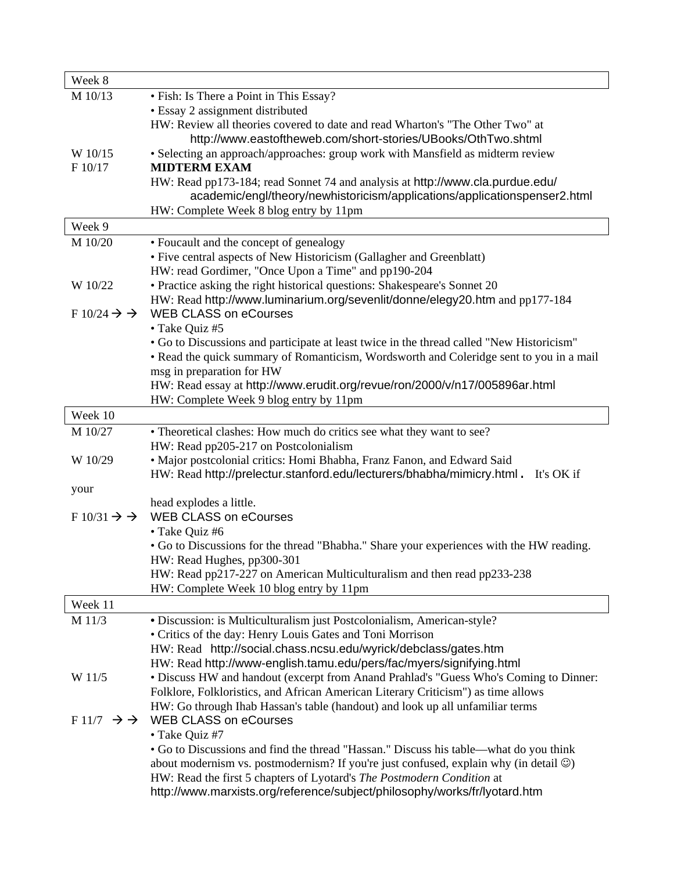| Week 8                           |                                                                                                     |
|----------------------------------|-----------------------------------------------------------------------------------------------------|
| M 10/13                          | • Fish: Is There a Point in This Essay?                                                             |
|                                  | • Essay 2 assignment distributed                                                                    |
|                                  | HW: Review all theories covered to date and read Wharton's "The Other Two" at                       |
|                                  | http://www.eastoftheweb.com/short-stories/UBooks/OthTwo.shtml                                       |
| W 10/15                          | • Selecting an approach/approaches: group work with Mansfield as midterm review                     |
| F 10/17                          | <b>MIDTERM EXAM</b>                                                                                 |
|                                  | HW: Read pp173-184; read Sonnet 74 and analysis at http://www.cla.purdue.edu/                       |
|                                  | academic/engl/theory/newhistoricism/applications/applicationspenser2.html                           |
|                                  | HW: Complete Week 8 blog entry by 11pm                                                              |
| Week 9                           |                                                                                                     |
| M 10/20                          | • Foucault and the concept of genealogy                                                             |
|                                  | • Five central aspects of New Historicism (Gallagher and Greenblatt)                                |
|                                  | HW: read Gordimer, "Once Upon a Time" and pp190-204                                                 |
| W 10/22                          | • Practice asking the right historical questions: Shakespeare's Sonnet 20                           |
|                                  | HW: Read http://www.luminarium.org/sevenlit/donne/elegy20.htm and pp177-184                         |
| $F10/24 \rightarrow \rightarrow$ | <b>WEB CLASS on eCourses</b>                                                                        |
|                                  | • Take Quiz #5                                                                                      |
|                                  | • Go to Discussions and participate at least twice in the thread called "New Historicism"           |
|                                  | • Read the quick summary of Romanticism, Wordsworth and Coleridge sent to you in a mail             |
|                                  | msg in preparation for HW                                                                           |
|                                  | HW: Read essay at http://www.erudit.org/revue/ron/2000/v/n17/005896ar.html                          |
|                                  | HW: Complete Week 9 blog entry by 11pm                                                              |
| Week 10                          |                                                                                                     |
| M 10/27                          | • Theoretical clashes: How much do critics see what they want to see?                               |
|                                  | HW: Read pp205-217 on Postcolonialism                                                               |
| W 10/29                          | · Major postcolonial critics: Homi Bhabha, Franz Fanon, and Edward Said                             |
|                                  | HW: Read http://prelectur.stanford.edu/lecturers/bhabha/mimicry.html.<br>It's OK if                 |
| your                             |                                                                                                     |
|                                  | head explodes a little.                                                                             |
| $F10/31 \rightarrow \rightarrow$ | <b>WEB CLASS on eCourses</b>                                                                        |
|                                  | • Take Quiz #6                                                                                      |
|                                  | • Go to Discussions for the thread "Bhabha." Share your experiences with the HW reading.            |
|                                  | HW: Read Hughes, pp300-301                                                                          |
|                                  | HW: Read pp217-227 on American Multiculturalism and then read pp233-238                             |
|                                  | HW: Complete Week 10 blog entry by 11pm                                                             |
| Week 11                          |                                                                                                     |
| M 11/3                           | · Discussion: is Multiculturalism just Postcolonialism, American-style?                             |
|                                  | • Critics of the day: Henry Louis Gates and Toni Morrison                                           |
|                                  | HW: Read http://social.chass.ncsu.edu/wyrick/debclass/gates.htm                                     |
|                                  | HW: Read http://www-english.tamu.edu/pers/fac/myers/signifying.html                                 |
| W 11/5                           | • Discuss HW and handout (excerpt from Anand Prahlad's "Guess Who's Coming to Dinner:               |
|                                  | Folklore, Folkloristics, and African American Literary Criticism") as time allows                   |
|                                  | HW: Go through Ihab Hassan's table (handout) and look up all unfamiliar terms                       |
| $F11/7 \rightarrow \rightarrow$  | <b>WEB CLASS on eCourses</b>                                                                        |
|                                  | • Take Quiz #7                                                                                      |
|                                  | • Go to Discussions and find the thread "Hassan." Discuss his table—what do you think               |
|                                  | about modernism vs. postmodernism? If you're just confused, explain why (in detail $\circledcirc$ ) |
|                                  | HW: Read the first 5 chapters of Lyotard's The Postmodern Condition at                              |
|                                  | http://www.marxists.org/reference/subject/philosophy/works/fr/lyotard.htm                           |